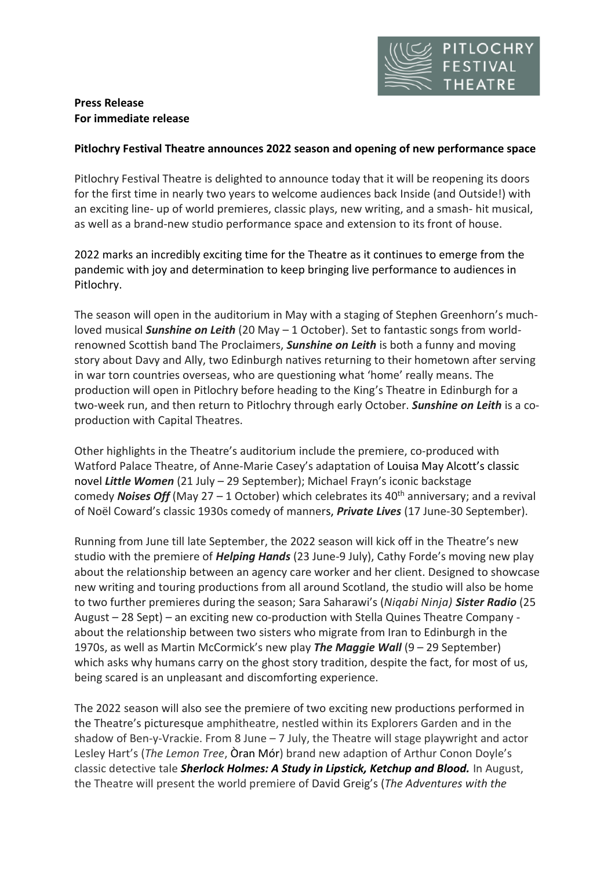

# **Press Release For immediate release**

# **Pitlochry Festival Theatre announces 2022 season and opening of new performance space**

Pitlochry Festival Theatre is delighted to announce today that it will be reopening its doors for the first time in nearly two years to welcome audiences back Inside (and Outside!) with an exciting line- up of world premieres, classic plays, new writing, and a smash- hit musical, as well as a brand-new studio performance space and extension to its front of house.

2022 marks an incredibly exciting time for the Theatre as it continues to emerge from the pandemic with joy and determination to keep bringing live performance to audiences in Pitlochry.

The season will open in the auditorium in May with a staging of Stephen Greenhorn's muchloved musical *Sunshine on Leith* (20 May – 1 October). Set to fantastic songs from worldrenowned Scottish band The Proclaimers, *Sunshine on Leith* is both a funny and moving story about Davy and Ally, two Edinburgh natives returning to their hometown after serving in war torn countries overseas, who are questioning what 'home' really means. The production will open in Pitlochry before heading to the King's Theatre in Edinburgh for a two-week run, and then return to Pitlochry through early October. *Sunshine on Leith* is a coproduction with Capital Theatres.

Other highlights in the Theatre's auditorium include the premiere, co-produced with Watford Palace Theatre, of Anne-Marie Casey's adaptation of Louisa May Alcott's classic novel *Little Women* (21 July – 29 September); Michael Frayn's iconic backstage comedy **Noises Off** (May  $27 - 1$  October) which celebrates its  $40<sup>th</sup>$  anniversary; and a revival of Noël Coward's classic 1930s comedy of manners, *Private Lives* (17 June-30 September).

Running from June till late September, the 2022 season will kick off in the Theatre's new studio with the premiere of *Helping Hands* (23 June-9 July), Cathy Forde's moving new play about the relationship between an agency care worker and her client. Designed to showcase new writing and touring productions from all around Scotland, the studio will also be home to two further premieres during the season; Sara Saharawi's (*Niqabi Ninja) Sister Radio* (25 August – 28 Sept) – an exciting new co-production with Stella Quines Theatre Company about the relationship between two sisters who migrate from Iran to Edinburgh in the 1970s, as well as Martin McCormick's new play *The Maggie Wall* (9 – 29 September) which asks why humans carry on the ghost story tradition, despite the fact, for most of us, being scared is an unpleasant and discomforting experience.

The 2022 season will also see the premiere of two exciting new productions performed in the Theatre's picturesque amphitheatre, nestled within its Explorers Garden and in the shadow of Ben-y-Vrackie. From 8 June – 7 July, the Theatre will stage playwright and actor Lesley Hart's (*The Lemon Tree*, Òran Mór) brand new adaption of Arthur Conon Doyle's classic detective tale *Sherlock Holmes: A Study in Lipstick, Ketchup and Blood.* In August, the Theatre will present the world premiere of David Greig's (*The Adventures with the*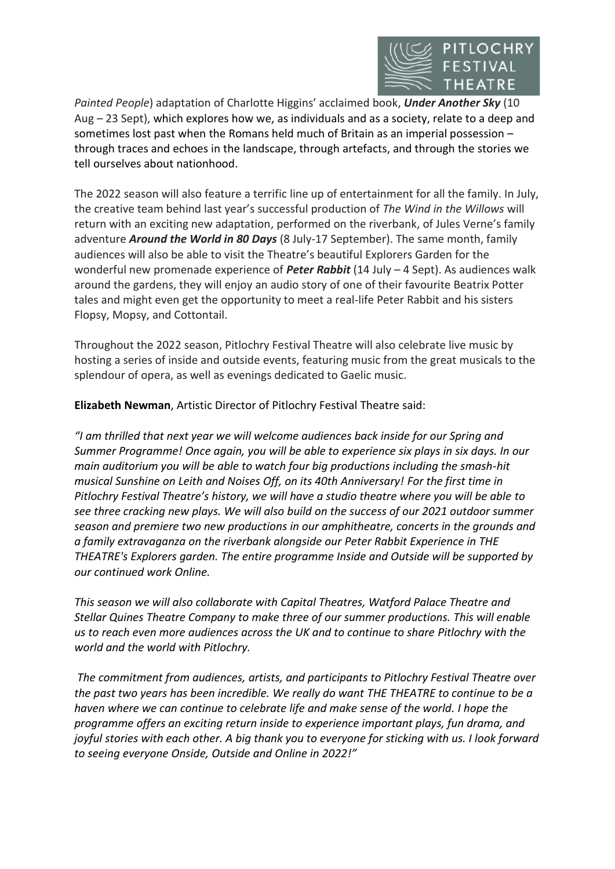

*Painted People*) adaptation of Charlotte Higgins' acclaimed book, *Under Another Sky* (10 Aug – 23 Sept), which explores how we, as individuals and as a society, relate to a deep and sometimes lost past when the Romans held much of Britain as an imperial possession – through traces and echoes in the landscape, through artefacts, and through the stories we tell ourselves about nationhood.

The 2022 season will also feature a terrific line up of entertainment for all the family. In July, the creative team behind last year's successful production of *The Wind in the Willows* will return with an exciting new adaptation, performed on the riverbank, of Jules Verne's family adventure *Around the World in 80 Days* (8 July-17 September). The same month, family audiences will also be able to visit the Theatre's beautiful Explorers Garden for the wonderful new promenade experience of *Peter Rabbit* (14 July – 4 Sept). As audiences walk around the gardens, they will enjoy an audio story of one of their favourite Beatrix Potter tales and might even get the opportunity to meet a real-life Peter Rabbit and his sisters Flopsy, Mopsy, and Cottontail.

Throughout the 2022 season, Pitlochry Festival Theatre will also celebrate live music by hosting a series of inside and outside events, featuring music from the great musicals to the splendour of opera, as well as evenings dedicated to Gaelic music.

**Elizabeth Newman**, Artistic Director of Pitlochry Festival Theatre said:

*"I am thrilled that next year we will welcome audiences back inside for our Spring and Summer Programme! Once again, you will be able to experience six plays in six days. In our main auditorium you will be able to watch four big productions including the smash-hit musical Sunshine on Leith and Noises Off, on its 40th Anniversary! For the first time in Pitlochry Festival Theatre's history, we will have a studio theatre where you will be able to see three cracking new plays. We will also build on the success of our 2021 outdoor summer season and premiere two new productions in our amphitheatre, concerts in the grounds and a family extravaganza on the riverbank alongside our Peter Rabbit Experience in THE THEATRE's Explorers garden. The entire programme Inside and Outside will be supported by our continued work Online.*

*This season we will also collaborate with Capital Theatres, Watford Palace Theatre and Stellar Quines Theatre Company to make three of our summer productions. This will enable us to reach even more audiences across the UK and to continue to share Pitlochry with the world and the world with Pitlochry.*

*The commitment from audiences, artists, and participants to Pitlochry Festival Theatre over the past two years has been incredible. We really do want THE THEATRE to continue to be a haven where we can continue to celebrate life and make sense of the world. I hope the programme offers an exciting return inside to experience important plays, fun drama, and*  joyful stories with each other. A big thank you to everyone for sticking with us. I look forward *to seeing everyone Onside, Outside and Online in 2022!"*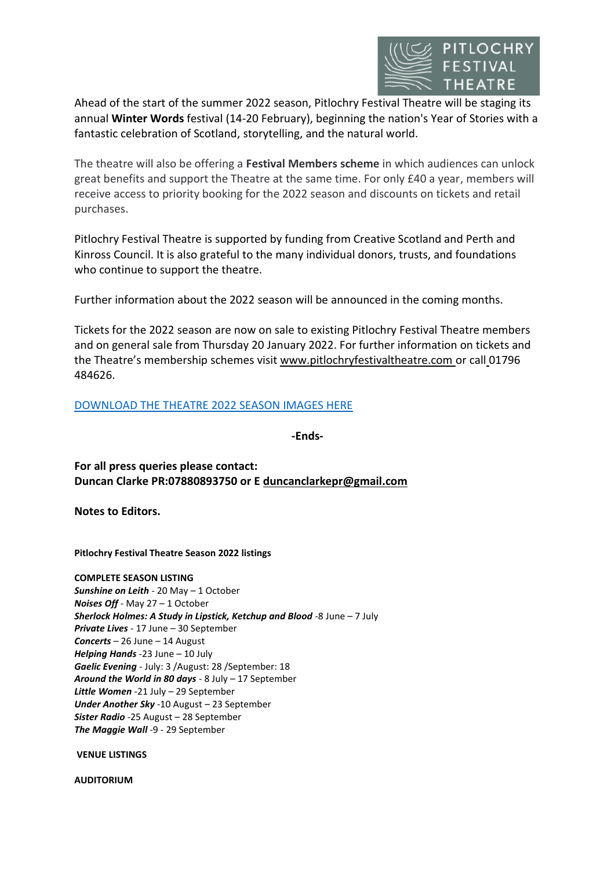

Ahead of the start of the summer 2022 season, Pitlochry Festival Theatre will be staging its annual **Winter Words** festival (14-20 February), beginning the nation's Year of Stories with a fantastic celebration of Scotland, storytelling, and the natural world.

The theatre will also be offering a **Festival Members scheme** in which audiences can unlock great benefits and support the Theatre at the same time. For only £40 a year, members will receive access to priority booking for the 2022 season and discounts on tickets and retail purchases.

Pitlochry Festival Theatre is supported by funding from Creative Scotland and Perth and Kinross Council. It is also grateful to the many individual donors, trusts, and foundations who continue to support the theatre.

Further information about the 2022 season will be announced in the coming months.

Tickets for the 2022 season are now on sale to existing Pitlochry Festival Theatre members and on general sale from Thursday 20 January 2022. For further information on tickets and the Theatre's membership schemes visit [www.pitlochryfestivaltheatre.com](http://www.pitlochryfestivaltheatre.com/) or call 01796 484626.

# DOWNLOAD THE THEATRE [2022 SEASON IMAGES HERE](https://www.dropbox.com/sh/gvl6yf2ghm9zmcs/AAAOVbKyNIq1D1Ixazf14LxLa?dl=0)

**-Ends-**

**For all press queries please contact: Duncan Clarke PR:07880893750 or E [duncanclarkepr@gmail.com](mailto:duncanclarkepr@gmail.com)**

**Notes to Editors.**

**Pitlochry Festival Theatre Season 2022 listings**

**COMPLETE SEASON LISTING** *Sunshine on Leith* - 20 May – 1 October *Noises Off* - May 27 – 1 October *Sherlock Holmes: A Study in Lipstick, Ketchup and Blood* -8 June – 7 July *Private Lives* - 17 June – 30 September *Concerts* – 26 June – 14 August *Helping Hands* -23 June – 10 July *Gaelic Evening* - July: 3 /August: 28 /September: 18 *Around the World in 80 days* - 8 July – 17 September *Little Women* -21 July – 29 September *Under Another Sky* -10 August – 23 September *Sister Radio* -25 August – 28 September *The Maggie Wall* -9 - 29 September

**VENUE LISTINGS**

**AUDITORIUM**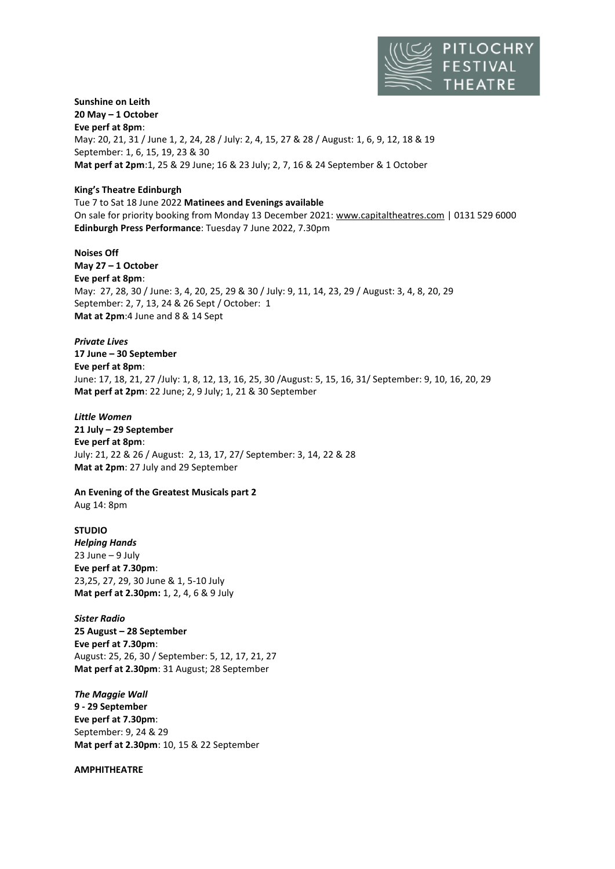

#### **Sunshine on Leith 20 May – 1 October Eve perf at 8pm**:

May: 20, 21, 31 / June 1, 2, 24, 28 / July: 2, 4, 15, 27 & 28 / August: 1, 6, 9, 12, 18 & 19 September: 1, 6, 15, 19, 23 & 30 **Mat perf at 2pm**:1, 25 & 29 June; 16 & 23 July; 2, 7, 16 & 24 September & 1 October

### **King's Theatre Edinburgh**

Tue 7 to Sat 18 June 2022 **Matinees and Evenings available**  On sale for priority booking from Monday 13 December 2021[: www.capitaltheatres.com](http://www.capitaltheatres.com/) [| 0131 529 6000](tel:0131%20529%206000) **Edinburgh Press Performance**: Tuesday 7 June 2022, 7.30pm

## **Noises Off**

**May 27 – 1 October Eve perf at 8pm**: May: 27, 28, 30 / June: 3, 4, 20, 25, 29 & 30 / July: 9, 11, 14, 23, 29 / August: 3, 4, 8, 20, 29 September: 2, 7, 13, 24 & 26 Sept / October: 1 **Mat at 2pm**:4 June and 8 & 14 Sept

# *Private Lives*

**17 June – 30 September Eve perf at 8pm**: June: 17, 18, 21, 27 /July: 1, 8, 12, 13, 16, 25, 30 /August: 5, 15, 16, 31/ September: 9, 10, 16, 20, 29 **Mat perf at 2pm**: 22 June; 2, 9 July; 1, 21 & 30 September

## *Little Women*

**21 July – 29 September Eve perf at 8pm**: July: 21, 22 & 26 / August: 2, 13, 17, 27/ September: 3, 14, 22 & 28 **Mat at 2pm**: 27 July and 29 September

# **An Evening of the Greatest Musicals part 2**

Aug 14: 8pm

## **STUDIO**

*Helping Hands* 23 June – 9 July **Eve perf at 7.30pm**: 23,25, 27, 29, 30 June & 1, 5-10 July **Mat perf at 2.30pm:** 1, 2, 4, 6 & 9 July

*Sister Radio* **25 August – 28 September Eve perf at 7.30pm**: August: 25, 26, 30 / September: 5, 12, 17, 21, 27 **Mat perf at 2.30pm**: 31 August; 28 September

*The Maggie Wall* **9 - 29 September Eve perf at 7.30pm**: September: 9, 24 & 29 **Mat perf at 2.30pm**: 10, 15 & 22 September

### **AMPHITHEATRE**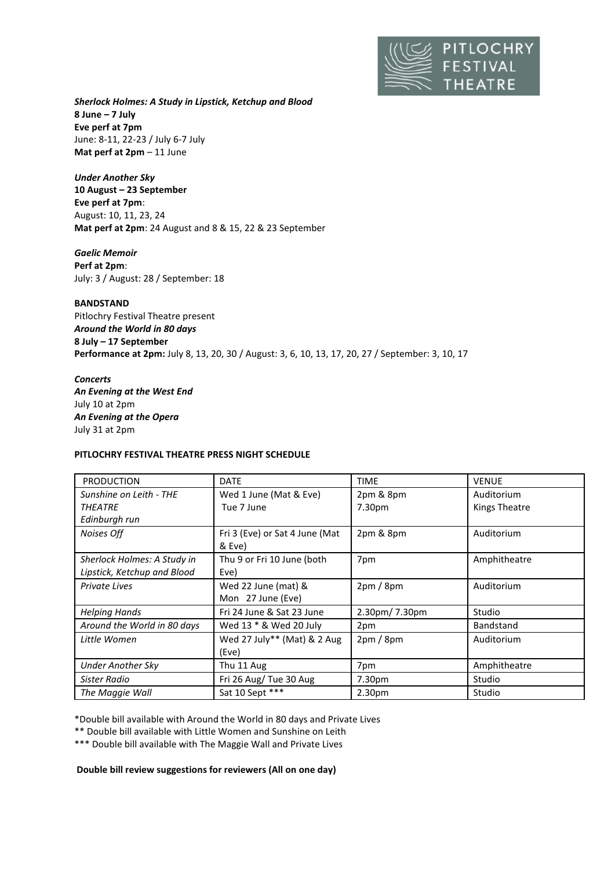

*Sherlock Holmes: A Study in Lipstick, Ketchup and Blood* **8 June – 7 July Eve perf at 7pm** June: 8-11, 22-23 / July 6-7 July **Mat perf at 2pm** – 11 June

*Under Another Sky* **10 August – 23 September Eve perf at 7pm**: August: 10, 11, 23, 24 **Mat perf at 2pm**: 24 August and 8 & 15, 22 & 23 September

*Gaelic Memoir* **Perf at 2pm**: July: 3 / August: 28 / September: 18

**BANDSTAND** Pitlochry Festival Theatre present *Around the World in 80 days* **8 July – 17 September Performance at 2pm:** July 8, 13, 20, 30 / August: 3, 6, 10, 13, 17, 20, 27 / September: 3, 10, 17

## *Concerts An Evening at the West End* July 10 at 2pm *An Evening at the Opera* July 31 at 2pm

### **PITLOCHRY FESTIVAL THEATRE PRESS NIGHT SCHEDULE**

| <b>PRODUCTION</b>           | <b>DATE</b>                    | <b>TIME</b>        | <b>VENUE</b>         |
|-----------------------------|--------------------------------|--------------------|----------------------|
| Sunshine on Leith - THE     | Wed 1 June (Mat & Eve)         | 2pm & 8pm          | Auditorium           |
| <b>THEATRE</b>              | Tue 7 June                     | 7.30pm             | <b>Kings Theatre</b> |
| Edinburgh run               |                                |                    |                      |
| Noises Off                  | Fri 3 (Eve) or Sat 4 June (Mat | 2pm & 8pm          | Auditorium           |
|                             | & Eve)                         |                    |                      |
| Sherlock Holmes: A Study in | Thu 9 or Fri 10 June (both     | 7pm                | Amphitheatre         |
| Lipstick, Ketchup and Blood | Eve)                           |                    |                      |
| Private Lives               | Wed 22 June (mat) &            | 2pm/8pm            | Auditorium           |
|                             | Mon 27 June (Eve)              |                    |                      |
| <b>Helping Hands</b>        | Fri 24 June & Sat 23 June      | 2.30pm/7.30pm      | Studio               |
| Around the World in 80 days | Wed 13 * & Wed 20 July         | 2pm                | <b>Bandstand</b>     |
| Little Women                | Wed 27 July** (Mat) & 2 Aug    | 2pm/8pm            | Auditorium           |
|                             | (Eve)                          |                    |                      |
| <b>Under Another Sky</b>    | Thu 11 Aug                     | 7pm                | Amphitheatre         |
| Sister Radio                | Fri 26 Aug/Tue 30 Aug          | 7.30pm             | Studio               |
| The Maggie Wall             | Sat 10 Sept ***                | 2.30 <sub>pm</sub> | Studio               |

\*Double bill available with Around the World in 80 days and Private Lives

\*\* Double bill available with Little Women and Sunshine on Leith

\*\*\* Double bill available with The Maggie Wall and Private Lives

**Double bill review suggestions for reviewers (All on one day)**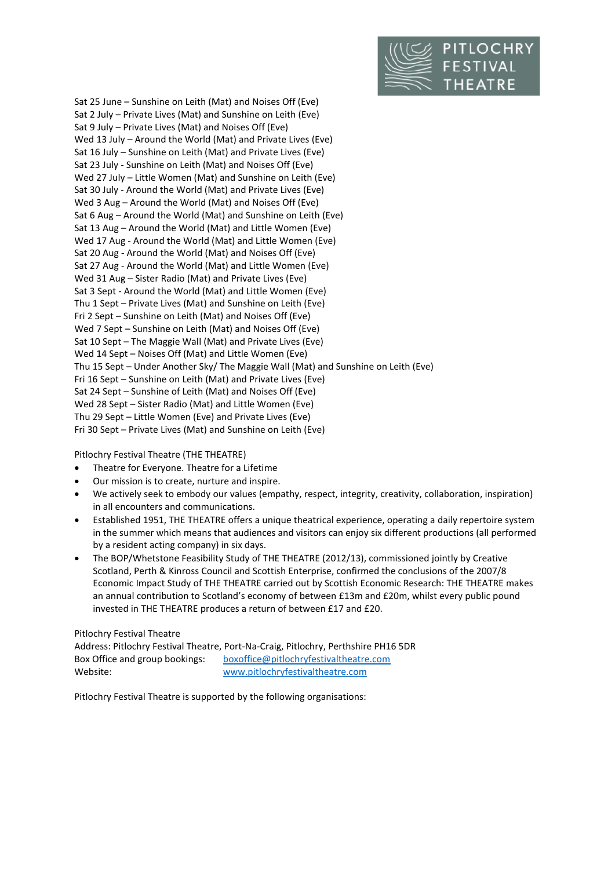

Sat 25 June – Sunshine on Leith (Mat) and Noises Off (Eve) Sat 2 July – Private Lives (Mat) and Sunshine on Leith (Eve) Sat 9 July – Private Lives (Mat) and Noises Off (Eve) Wed 13 July – Around the World (Mat) and Private Lives (Eve) Sat 16 July – Sunshine on Leith (Mat) and Private Lives (Eve) Sat 23 July - Sunshine on Leith (Mat) and Noises Off (Eve) Wed 27 July – Little Women (Mat) and Sunshine on Leith (Eve) Sat 30 July - Around the World (Mat) and Private Lives (Eve) Wed 3 Aug – Around the World (Mat) and Noises Off (Eve) Sat 6 Aug – Around the World (Mat) and Sunshine on Leith (Eve) Sat 13 Aug – Around the World (Mat) and Little Women (Eve) Wed 17 Aug - Around the World (Mat) and Little Women (Eve) Sat 20 Aug - Around the World (Mat) and Noises Off (Eve) Sat 27 Aug - Around the World (Mat) and Little Women (Eve) Wed 31 Aug – Sister Radio (Mat) and Private Lives (Eve) Sat 3 Sept - Around the World (Mat) and Little Women (Eve) Thu 1 Sept – Private Lives (Mat) and Sunshine on Leith (Eve) Fri 2 Sept – Sunshine on Leith (Mat) and Noises Off (Eve) Wed 7 Sept – Sunshine on Leith (Mat) and Noises Off (Eve) Sat 10 Sept – The Maggie Wall (Mat) and Private Lives (Eve) Wed 14 Sept – Noises Off (Mat) and Little Women (Eve) Thu 15 Sept – Under Another Sky/ The Maggie Wall (Mat) and Sunshine on Leith (Eve) Fri 16 Sept – Sunshine on Leith (Mat) and Private Lives (Eve) Sat 24 Sept – Sunshine of Leith (Mat) and Noises Off (Eve) Wed 28 Sept – Sister Radio (Mat) and Little Women (Eve) Thu 29 Sept – Little Women (Eve) and Private Lives (Eve) Fri 30 Sept – Private Lives (Mat) and Sunshine on Leith (Eve)

## Pitlochry Festival Theatre (THE THEATRE)

- Theatre for Everyone. Theatre for a Lifetime
- Our mission is to create, nurture and inspire.
- We actively seek to embody our values (empathy, respect, integrity, creativity, collaboration, inspiration) in all encounters and communications.
- Established 1951, THE THEATRE offers a unique theatrical experience, operating a daily repertoire system in the summer which means that audiences and visitors can enjoy six different productions (all performed by a resident acting company) in six days.
- The BOP/Whetstone Feasibility Study of THE THEATRE (2012/13), commissioned jointly by Creative Scotland, Perth & Kinross Council and Scottish Enterprise, confirmed the conclusions of the 2007/8 Economic Impact Study of THE THEATRE carried out by Scottish Economic Research: THE THEATRE makes an annual contribution to Scotland's economy of between £13m and £20m, whilst every public pound invested in THE THEATRE produces a return of between £17 and £20.

### Pitlochry Festival Theatre

Address: Pitlochry Festival Theatre, Port-Na-Craig, Pitlochry, Perthshire PH16 5DR Box Office and group bookings: [boxoffice@pitlochryfestivaltheatre.com](mailto:boxoffice@pitlochryfestivaltheatre.com) Website: [www.pitlochryfestivaltheatre.com](http://www.pitlochryfestivaltheatre.com/)

Pitlochry Festival Theatre is supported by the following organisations: